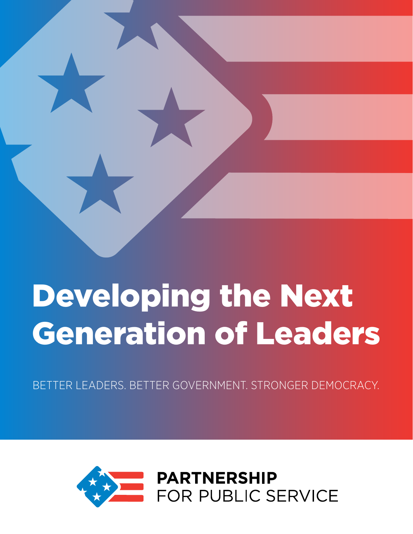

# Developing the Next Generation of Leaders

BETTER LEADERS. BETTER GOVERNMENT. STRONGER DEMOCRACY.

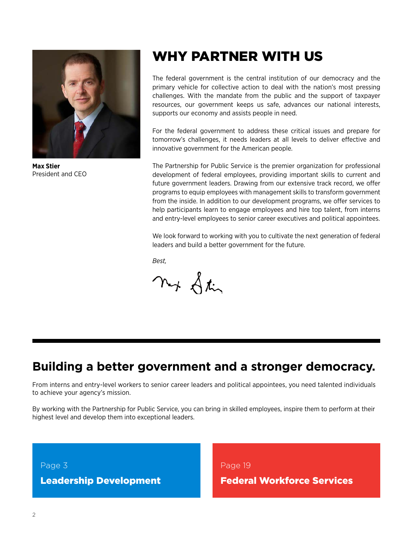

**Max Stier** President and CEO

# WHY PARTNER WITH US

The federal government is the central institution of our democracy and the primary vehicle for collective action to deal with the nation's most pressing challenges. With the mandate from the public and the support of taxpayer resources, our government keeps us safe, advances our national interests, supports our economy and assists people in need.

For the federal government to address these critical issues and prepare for tomorrow's challenges, it needs leaders at all levels to deliver effective and innovative government for the American people.

The Partnership for Public Service is the premier organization for professional development of federal employees, providing important skills to current and future government leaders. Drawing from our extensive track record, we offer programs to equip employees with management skills to transform government from the inside. In addition to our development programs, we offer services to help participants learn to engage employees and hire top talent, from interns and entry-level employees to senior career executives and political appointees.

We look forward to working with you to cultivate the next generation of federal leaders and build a better government for the future.

*Best,*

ny Stir

### **Building a better government and a stronger democracy.**

From interns and entry-level workers to senior career leaders and political appointees, you need talented individuals to achieve your agency's mission.

By working with the Partnership for Public Service, you can bring in skilled employees, inspire them to perform at their highest level and develop them into exceptional leaders.

Page 3

Leadership Development

Page 19 Federal Workforce Services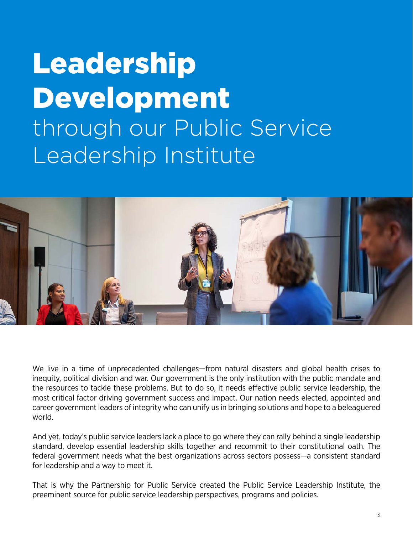# Leadership Development through our Public Service Leadership Institute



We live in a time of unprecedented challenges—from natural disasters and global health crises to inequity, political division and war. Our government is the only institution with the public mandate and the resources to tackle these problems. But to do so, it needs effective public service leadership, the most critical factor driving government success and impact. Our nation needs elected, appointed and career government leaders of integrity who can unify us in bringing solutions and hope to a beleaguered world.

And yet, today's public service leaders lack a place to go where they can rally behind a single leadership standard, develop essential leadership skills together and recommit to their constitutional oath. The federal government needs what the best organizations across sectors possess—a consistent standard for leadership and a way to meet it.

That is why the Partnership for Public Service created the Public Service Leadership Institute, the preeminent source for public service leadership perspectives, programs and policies.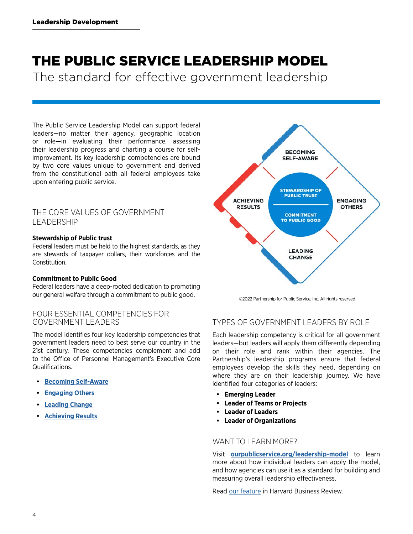# THE PUBLIC SERVICE LEADERSHIP MODEL

The standard for effective government leadership

The Public Service Leadership Model can support federal leaders—no matter their agency, geographic location or role—in evaluating their performance, assessing their leadership progress and charting a course for selfimprovement. Its key leadership competencies are bound by two core values unique to government and derived from the constitutional oath all federal employees take upon entering public service.

#### THE CORE VALUES OF GOVERNMENT LEADERSHIP

#### **Stewardship of Public trust**

Federal leaders must be held to the highest standards, as they are stewards of taxpayer dollars, their workforces and the **Constitution** 

#### **Commitment to Public Good**

Federal leaders have a deep-rooted dedication to promoting our general welfare through a commitment to public good.

#### FOUR ESSENTIAL COMPETENCIES FOR GOVERNMENT LEADERS

The model identifies four key leadership competencies that government leaders need to best serve our country in the 21st century. These competencies complement and add to the Office of Personnel Management's Executive Core Qualifications.

- **• [Becoming Self-Aware](https://ourpublicservice.org/our-work/public-service-leadership-model-becoming-self-aware/)**
- **• [Engaging Others](https://ourpublicservice.org/our-work/public-service-leadership-model-engaging-others/)**
- **• [Leading Change](https://ourpublicservice.org/our-work/public-service-leadership-model-leading-change/)**
- **• [Achieving Results](https://ourpublicservice.org/our-work/public-service-leadership-model-achieving-results/)**



©2022 Partnership for Public Service, Inc. All rights reserved.

#### TYPES OF GOVERNMENT LEADERS BY ROLE

Each leadership competency is critical for all government leaders—but leaders will apply them differently depending on their role and rank within their agencies. The Partnership's leadership programs ensure that federal employees develop the skills they need, depending on where they are on their leadership journey. We have identified four categories of leaders:

- **• Emerging Leader**
- **• Leader of Teams or Projects**
- **• Leader of Leaders**
- **• Leader of Organizations**

#### WANT TO LEARN MORE?

Visit **[ourpublicservice.org/leadership-model](https://ourpublicservice.org/our-work/public-service-leadership-model/)** to learn more about how individual leaders can apply the model, and how agencies can use it as a standard for building and measuring overall leadership effectiveness.

Read [our feature](https://hbr.org/2020/04/a-nonpartisan-model-for-developing-public-service-leadership) in Harvard Business Review.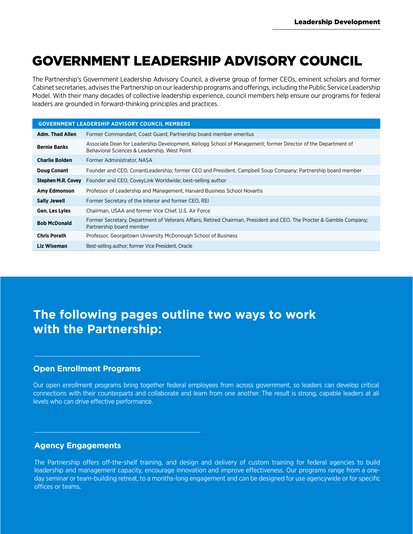# GOVERNMENT LEADERSHIP ADVISORY COUNCIL

The Partnership's Government Leadership Advisory Council, a diverse group of former CEOs, eminent scholars and former Cabinet secretaries, advises the Partnership on our leadership programs and offerings, including the Public Service Leadership Model. With their many decades of collective leadership experience, council members help ensure our programs for federal leaders are grounded in forward-thinking principles and practices.

| <b>GOVERNMENT LEADERSHIP ADVISORY COUNCIL MEMBERS</b> |                                                                                                                                                               |  |  |
|-------------------------------------------------------|---------------------------------------------------------------------------------------------------------------------------------------------------------------|--|--|
| Adm. Thad Allen                                       | Former Commandant, Coast Guard; Partnership board member emeritus                                                                                             |  |  |
| <b>Bernie Banks</b>                                   | Associate Dean for Leadership Development, Kellogg School of Management; former Director of the Department of<br>Behavioral Sciences & Leadership, West Point |  |  |
| <b>Charlie Bolden</b>                                 | Former Administrator, NASA                                                                                                                                    |  |  |
| <b>Doug Conant</b>                                    | Founder and CEO, ConantLeadership; former CEO and President, Campbell Soup Company; Partnership board member                                                  |  |  |
| <b>Stephen M.R. Covey</b>                             | Founder and CEO, CoveyLink Worldwide; best-selling author                                                                                                     |  |  |
| <b>Amy Edmonson</b>                                   | Professor of Leadership and Management, Harvard Business School Novartis                                                                                      |  |  |
| <b>Sally Jewell</b>                                   | Former Secretary of the Interior and former CEO, REI                                                                                                          |  |  |
| Gen. Les Lyles                                        | Chairman, USAA and former Vice Chief, U.S. Air Force                                                                                                          |  |  |
| <b>Bob McDonald</b>                                   | Former Secretary, Department of Veterans Affairs; Retired Chairman, President and CEO, The Procter & Gamble Company;<br>Partnership board member              |  |  |
| <b>Chris Porath</b>                                   | Professor, Georgetown University McDonough School of Business                                                                                                 |  |  |
| Liz Wiseman                                           | Best-selling author; former Vice President, Oracle                                                                                                            |  |  |

### **The following pages outline two ways to work with the Partnership:**

#### **Open Enrollment Programs**

Our open enrollment programs bring together federal employees from across government, so leaders can develop critical connections with their counterparts and collaborate and learn from one another. The result is strong, capable leaders at all levels who can drive effective performance.

#### **Agency Engagements**

The Partnership offers off-the-shelf training, and design and delivery of custom training for federal agencies to build leadership and management capacity, encourage innovation and improve effectiveness. Our programs range from a oneday seminar or team-building retreat, to a months-long engagement and can be designed for use agencywide or for specific offices or teams.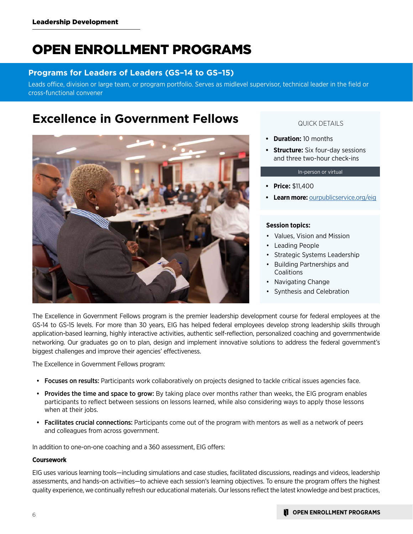# OPEN ENROLLMENT PROGRAMS

#### **Programs for Leaders of Leaders (GS–14 to GS–15)**

Leads office, division or large team, or program portfolio. Serves as midlevel supervisor, technical leader in the field or cross-functional convener

### **Excellence in Government Fellows**



#### QUICK DETAILS

- **• Duration:** 10 months
- **• Structure:** Six four-day sessions and three two-hour check-ins

#### In-person or virtual

- **• Price:** \$11,400
- **• Learn more:** [ourpublicservice.org/eig](http://ourpublicservice.org/eig)

#### **Session topics:**

- Values, Vision and Mission
- Leading People
- Strategic Systems Leadership
- Building Partnerships and **Coalitions**
- Navigating Change
- Synthesis and Celebration

The Excellence in Government Fellows program is the premier leadership development course for federal employees at the GS-14 to GS-15 levels. For more than 30 years, EIG has helped federal employees develop strong leadership skills through application-based learning, highly interactive activities, authentic self-reflection, personalized coaching and governmentwide networking. Our graduates go on to plan, design and implement innovative solutions to address the federal government's biggest challenges and improve their agencies' effectiveness.

The Excellence in Government Fellows program:

- Focuses on results: Participants work collaboratively on projects designed to tackle critical issues agencies face.
- Provides the time and space to grow: By taking place over months rather than weeks, the EIG program enables participants to reflect between sessions on lessons learned, while also considering ways to apply those lessons when at their jobs.
- Facilitates crucial connections: Participants come out of the program with mentors as well as a network of peers and colleagues from across government.

In addition to one-on-one coaching and a 360 assessment, EIG offers:

#### **Coursework**

EIG uses various learning tools—including simulations and case studies, facilitated discussions, readings and videos, leadership assessments, and hands-on activities—to achieve each session's learning objectives. To ensure the program offers the highest quality experience, we continually refresh our educational materials. Our lessons reflect the latest knowledge and best practices,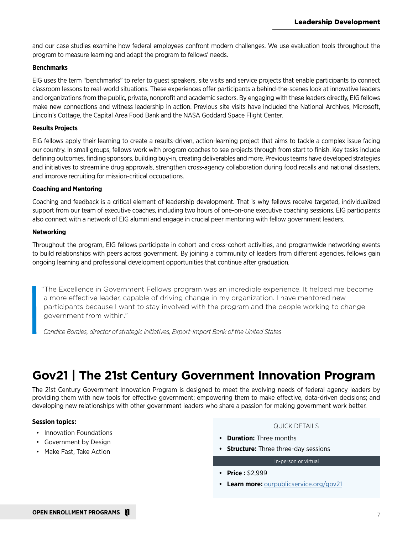and our case studies examine how federal employees confront modern challenges. We use evaluation tools throughout the program to measure learning and adapt the program to fellows' needs.

#### **Benchmarks**

EIG uses the term "benchmarks" to refer to guest speakers, site visits and service projects that enable participants to connect classroom lessons to real-world situations. These experiences offer participants a behind-the-scenes look at innovative leaders and organizations from the public, private, nonprofit and academic sectors. By engaging with these leaders directly, EIG fellows make new connections and witness leadership in action. Previous site visits have included the National Archives, Microsoft, Lincoln's Cottage, the Capital Area Food Bank and the NASA Goddard Space Flight Center.

#### **Results Projects**

EIG fellows apply their learning to create a results-driven, action-learning project that aims to tackle a complex issue facing our country. In small groups, fellows work with program coaches to see projects through from start to finish. Key tasks include defining outcomes, finding sponsors, building buy-in, creating deliverables and more. Previous teams have developed strategies and initiatives to streamline drug approvals, strengthen cross-agency collaboration during food recalls and national disasters, and improve recruiting for mission-critical occupations.

#### **Coaching and Mentoring**

Coaching and feedback is a critical element of leadership development. That is why fellows receive targeted, individualized support from our team of executive coaches, including two hours of one-on-one executive coaching sessions. EIG participants also connect with a network of EIG alumni and engage in crucial peer mentoring with fellow government leaders.

#### **Networking**

Throughout the program, EIG fellows participate in cohort and cross-cohort activities, and programwide networking events to build relationships with peers across government. By joining a community of leaders from different agencies, fellows gain ongoing learning and professional development opportunities that continue after graduation.

"The Excellence in Government Fellows program was an incredible experience. It helped me become a more effective leader, capable of driving change in my organization. I have mentored new participants because I want to stay involved with the program and the people working to change government from within."

*Candice Borales, director of strategic initiatives, Export-Import Bank of the United States*

# **Gov21 | The 21st Century Government Innovation Program**

The 21st Century Government Innovation Program is designed to meet the evolving needs of federal agency leaders by providing them with new tools for effective government; empowering them to make effective, data-driven decisions; and developing new relationships with other government leaders who share a passion for making government work better.

#### **Session topics:**

- Innovation Foundations
- Government by Design
- Make Fast, Take Action

#### QUICK DETAILS

- **• Duration:** Three months
- **• Structure:** Three three-day sessions

#### In-person or virtual

- **• Price :** \$2,999
- **• Learn more:** [ourpublicservice.org/gov21](https://ourpublicservice.org/gov21)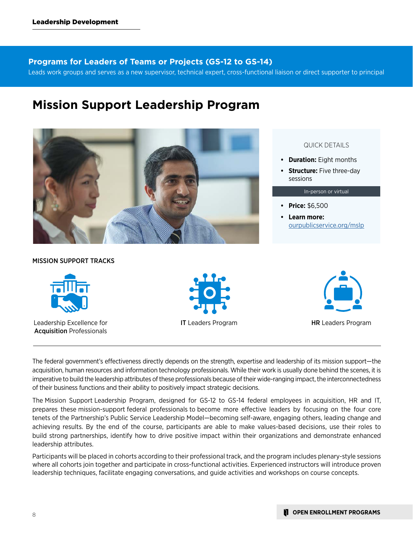#### **Programs for Leaders of Teams or Projects (GS-12 to GS-14)**

Leads work groups and serves as a new supervisor, technical expert, cross-functional liaison or direct supporter to principal

### **Mission Support Leadership Program**



#### QUICK DETAILS

- **• Duration:** Eight months
- **• Structure:** Five three-day sessions

#### In-person or virtual

- **• Price:** \$6,500
- **• Learn more:**  [ourpublicservice.org/mslp](http://ourpublicservice.org/mslp)

#### MISSION SUPPORT TRACKS



Leadership Excellence for Acquisition Professionals





**IT** Leaders Program **HR** Leaders Program

The federal government's effectiveness directly depends on the strength, expertise and leadership of its mission support—the acquisition, human resources and information technology professionals. While their work is usually done behind the scenes, it is imperative to build the leadership attributes of these professionals because of their wide-ranging impact, the interconnectedness of their business functions and their ability to positively impact strategic decisions.

The Mission Support Leadership Program, designed for GS-12 to GS-14 federal employees in acquisition, HR and IT, prepares these mission-support federal professionals to become more effective leaders by focusing on the four core tenets of the Partnership's Public Service Leadership Model—becoming self-aware, engaging others, leading change and achieving results. By the end of the course, participants are able to make values-based decisions, use their roles to build strong partnerships, identify how to drive positive impact within their organizations and demonstrate enhanced leadership attributes.

Participants will be placed in cohorts according to their professional track, and the program includes plenary-style sessions where all cohorts join together and participate in cross-functional activities. Experienced instructors will introduce proven leadership techniques, facilitate engaging conversations, and guide activities and workshops on course concepts.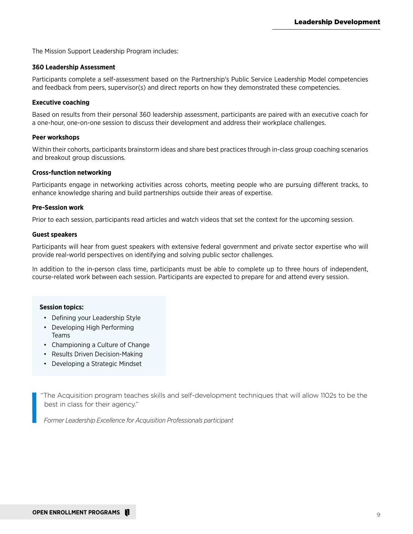The Mission Support Leadership Program includes:

#### **360 Leadership Assessment**

Participants complete a self-assessment based on the Partnership's Public Service Leadership Model competencies and feedback from peers, supervisor(s) and direct reports on how they demonstrated these competencies.

#### **Executive coaching**

Based on results from their personal 360 leadership assessment, participants are paired with an executive coach for a one-hour, one-on-one session to discuss their development and address their workplace challenges.

#### **Peer workshops**

Within their cohorts, participants brainstorm ideas and share best practices through in-class group coaching scenarios and breakout group discussions.

#### **Cross-function networking**

Participants engage in networking activities across cohorts, meeting people who are pursuing different tracks, to enhance knowledge sharing and build partnerships outside their areas of expertise.

#### **Pre-Session work**

Prior to each session, participants read articles and watch videos that set the context for the upcoming session.

#### **Guest speakers**

Participants will hear from guest speakers with extensive federal government and private sector expertise who will provide real-world perspectives on identifying and solving public sector challenges.

In addition to the in-person class time, participants must be able to complete up to three hours of independent, course-related work between each session. Participants are expected to prepare for and attend every session.

#### **Session topics:**

- Defining your Leadership Style
- Developing High Performing Teams
- Championing a Culture of Change
- Results Driven Decision-Making
- Developing a Strategic Mindset

"The Acquisition program teaches skills and self-development techniques that will allow 1102s to be the best in class for their agency."

*Former Leadership Excellence for Acquisition Professionals participant*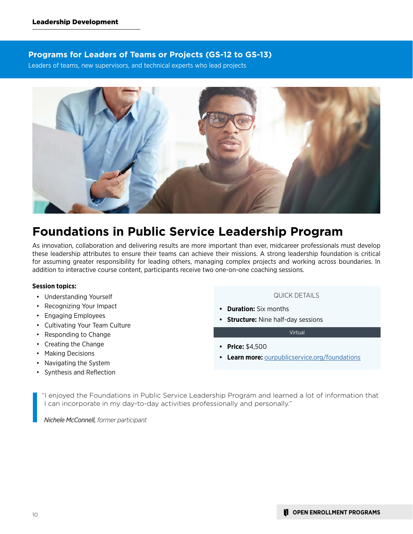#### **Programs for Leaders of Teams or Projects (GS-12 to GS-13)**

Leaders of teams, new supervisors, and technical experts who lead projects



### **Foundations in Public Service Leadership Program**

As innovation, collaboration and delivering results are more important than ever, midcareer professionals must develop these leadership attributes to ensure their teams can achieve their missions. A strong leadership foundation is critical for assuming greater responsibility for leading others, managing complex projects and working across boundaries. In addition to interactive course content, participants receive two one-on-one coaching sessions.

#### **Session topics:**

- Understanding Yourself
- Recognizing Your Impact
- Engaging Employees
- Cultivating Your Team Culture
- Responding to Change
- Creating the Change
- Making Decisions
- Navigating the System
- Synthesis and Reflection

QUICK DETAILS

- **• Duration:** Six months
- **• Structure:** Nine half-day sessions

Virtual

- **• Price:** \$4,500
- **• Learn more:** [ourpublicservice.org/foundations](http://ourpublicservice.org/foundations)

"I enjoyed the Foundations in Public Service Leadership Program and learned a lot of information that I can incorporate in my day-to-day activities professionally and personally."

*Nichele McConnell, former participant*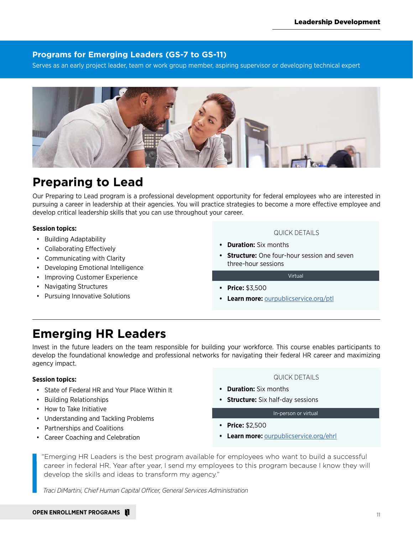#### **Programs for Emerging Leaders (GS-7 to GS-11)**

Serves as an early project leader, team or work group member, aspiring supervisor or developing technical expert



### **Preparing to Lead**

Our Preparing to Lead program is a professional development opportunity for federal employees who are interested in pursuing a career in leadership at their agencies. You will practice strategies to become a more effective employee and develop critical leadership skills that you can use throughout your career.

#### **Session topics:**

- Building Adaptability
- Collaborating Effectively
- Communicating with Clarity
- Developing Emotional Intelligence
- Improving Customer Experience
- Navigating Structures
- Pursuing Innovative Solutions

#### QUICK DETAILS

- **• Duration:** Six months
- **• Structure:** One four-hour session and seven three-hour sessions

Virtual

- **• Price:** \$3,500
- **• Learn more:** [ourpublicservice.org/ptl](http://ourpublicservice.org/ptl)

### **Emerging HR Leaders**

Invest in the future leaders on the team responsible for building your workforce. This course enables participants to develop the foundational knowledge and professional networks for navigating their federal HR career and maximizing agency impact.

#### **Session topics:**

- State of Federal HR and Your Place Within It
- Building Relationships
- How to Take Initiative
- Understanding and Tackling Problems
- Partnerships and Coalitions
- Career Coaching and Celebration

#### QUICK DETAILS

- **• Duration:** Six months
- **• Structure:** Six half-day sessions

#### In-person or virtual

- **• Price:** \$2,500
- **• Learn more:** [ourpublicservice.org/ehrl](http://ourpublicservice.org/ehrl)

"Emerging HR Leaders is the best program available for employees who want to build a successful career in federal HR. Year after year, I send my employees to this program because I know they will develop the skills and ideas to transform my agency."

*Traci DiMartini, Chief Human Capital Officer, General Services Administration*

#### **OPEN ENROLLMENT PROGRAMS**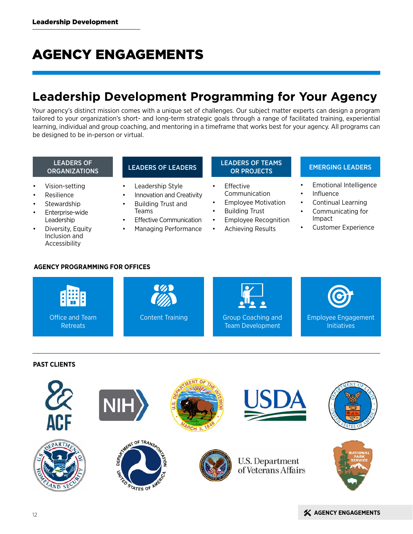# AGENCY ENGAGEMENTS

## **Leadership Development Programming for Your Agency**

Your agency's distinct mission comes with a unique set of challenges. Our subject matter experts can design a program tailored to your organization's short- and long-term strategic goals through a range of facilitated training, experiential learning, individual and group coaching, and mentoring in a timeframe that works best for your agency. All programs can be designed to be in-person or virtual.

# LEADERS OF

- Vision-setting
- **Resilience**
- **Stewardship**
- Enterprise-wide Leadership
- Diversity, Equity Inclusion and Accessibility

- Leadership Style
- Innovation and Creativity
- Building Trust and Teams
- **Effective Communication**
- Managing Performance

# LEADERS OF **LEADERS OF LEADERS OF LEADERS OF TEAMS**<br>OR PROJECTS

- Effective Communication
- Employee Motivation
- **Building Trust**
- Employee Recognition
- Achieving Results

#### **EMERGING LEADERS**

- Emotional Intelligence
- **Influence**
- Continual Learning
- Communicating for Impact
- Customer Experience

#### **AGENCY PROGRAMMING FOR OFFICES**



#### **PAST CLIENTS**

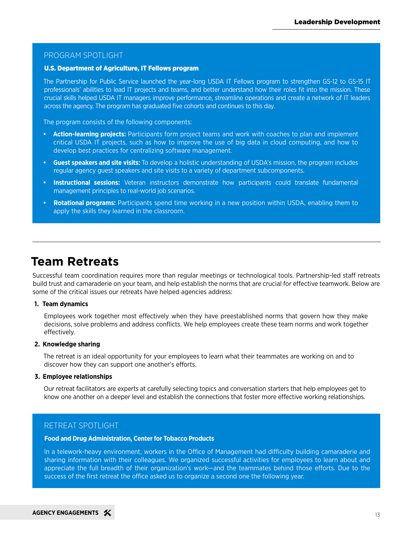#### PROGRAM SPOTLIGHT

#### U.S. Department of Agriculture, IT Fellows program

The Partnership for Public Service launched the year-long USDA IT Fellows program to strengthen GS-12 to GS-15 IT professionals' abilities to lead IT projects and teams, and better understand how their roles fit into the mission. These crucial skills helped USDA IT managers improve performance, streamline operations and create a network of IT leaders across the agency. The program has graduated five cohorts and continues to this day.

The program consists of the following components:

- **• Action-learning projects:** Participants form project teams and work with coaches to plan and implement critical USDA IT projects, such as how to improve the use of big data in cloud computing, and how to develop best practices for centralizing software management.
- **• Guest speakers and site visits:** To develop a holistic understanding of USDA's mission, the program includes regular agency guest speakers and site visits to a variety of department subcomponents.
- **Instructional sessions:** Veteran instructors demonstrate how participants could translate fundamental management principles to real-world job scenarios.
- **• Rotational programs:** Participants spend time working in a new position within USDA, enabling them to apply the skills they learned in the classroom.

### **Team Retreats**

Successful team coordination requires more than regular meetings or technological tools. Partnership-led staff retreats build trust and camaraderie on your team, and help establish the norms that are crucial for effective teamwork. Below are some of the critical issues our retreats have helped agencies address:

#### **1. Team dynamics**

Employees work together most effectively when they have preestablished norms that govern how they make decisions, solve problems and address conflicts. We help employees create these team norms and work together effectively.

#### **2. Knowledge sharing**

The retreat is an ideal opportunity for your employees to learn what their teammates are working on and to discover how they can support one another's efforts.

#### **3. Employee relationships**

Our retreat facilitators are experts at carefully selecting topics and conversation starters that help employees get to know one another on a deeper level and establish the connections that foster more effective working relationships.

#### RETREAT SPOTLIGHT

#### **Food and Drug Administration, Center for Tobacco Products**

In a telework-heavy environment, workers in the Office of Management had difficulty building camaraderie and sharing information with their colleagues. We organized successful activities for employees to learn about and appreciate the full breadth of their organization's work—and the teammates behind those efforts. Due to the success of the first retreat the office asked us to organize a second one the following year.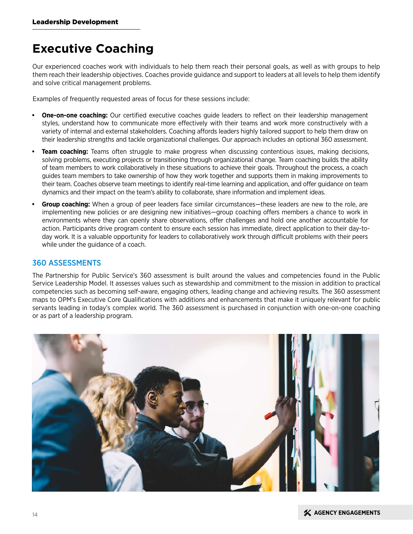### **Executive Coaching**

Our experienced coaches work with individuals to help them reach their personal goals, as well as with groups to help them reach their leadership objectives. Coaches provide guidance and support to leaders at all levels to help them identify and solve critical management problems.

Examples of frequently requested areas of focus for these sessions include:

- **• One-on-one coaching:** Our certified executive coaches guide leaders to reflect on their leadership management styles, understand how to communicate more effectively with their teams and work more constructively with a variety of internal and external stakeholders. Coaching affords leaders highly tailored support to help them draw on their leadership strengths and tackle organizational challenges. Our approach includes an optional 360 assessment.
- **Team coaching:** Teams often struggle to make progress when discussing contentious issues, making decisions, solving problems, executing projects or transitioning through organizational change. Team coaching builds the ability of team members to work collaboratively in these situations to achieve their goals. Throughout the process, a coach guides team members to take ownership of how they work together and supports them in making improvements to their team. Coaches observe team meetings to identify real-time learning and application, and offer guidance on team dynamics and their impact on the team's ability to collaborate, share information and implement ideas.
- **• Group coaching:** When a group of peer leaders face similar circumstances—these leaders are new to the role, are implementing new policies or are designing new initiatives—group coaching offers members a chance to work in environments where they can openly share observations, offer challenges and hold one another accountable for action. Participants drive program content to ensure each session has immediate, direct application to their day-today work. It is a valuable opportunity for leaders to collaboratively work through difficult problems with their peers while under the guidance of a coach.

#### 360 ASSESSMENTS

The Partnership for Public Service's 360 assessment is built around the values and competencies found in the Public Service Leadership Model. It assesses values such as stewardship and commitment to the mission in addition to practical competencies such as becoming self-aware, engaging others, leading change and achieving results. The 360 assessment maps to OPM's Executive Core Qualifications with additions and enhancements that make it uniquely relevant for public servants leading in today's complex world. The 360 assessment is purchased in conjunction with one-on-one coaching or as part of a leadership program.

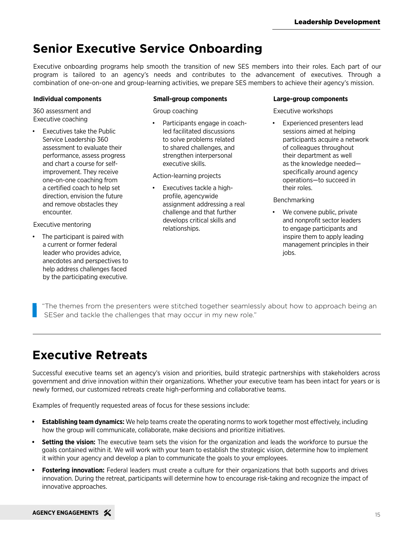## **Senior Executive Service Onboarding**

Executive onboarding programs help smooth the transition of new SES members into their roles. Each part of our program is tailored to an agency's needs and contributes to the advancement of executives. Through a combination of one-on-one and group-learning activities, we prepare SES members to achieve their agency's mission.

#### **Individual components**

360 assessment and Executive coaching

Executives take the Public Service Leadership 360 assessment to evaluate their performance, assess progress and chart a course for selfimprovement. They receive one-on-one coaching from a certified coach to help set direction, envision the future and remove obstacles they encounter.

Executive mentoring

The participant is paired with a current or former federal leader who provides advice, anecdotes and perspectives to help address challenges faced by the participating executive.

#### **Small-group components**

Group coaching

• Participants engage in coachled facilitated discussions to solve problems related to shared challenges, and strengthen interpersonal executive skills.

Action-learning projects

• Executives tackle a highprofile, agencywide assignment addressing a real challenge and that further develops critical skills and relationships.

#### **Large-group components**

Executive workshops

Experienced presenters lead sessions aimed at helping participants acquire a network of colleagues throughout their department as well as the knowledge needed specifically around agency operations—to succeed in their roles.

Benchmarking

We convene public, private and nonprofit sector leaders to engage participants and inspire them to apply leading management principles in their jobs.

"The themes from the presenters were stitched together seamlessly about how to approach being an SESer and tackle the challenges that may occur in my new role."

# **Executive Retreats**

Successful executive teams set an agency's vision and priorities, build strategic partnerships with stakeholders across government and drive innovation within their organizations. Whether your executive team has been intact for years or is newly formed, our customized retreats create high-performing and collaborative teams.

Examples of frequently requested areas of focus for these sessions include:

- **• Establishing team dynamics:** We help teams create the operating norms to work together most effectively, including how the group will communicate, collaborate, make decisions and prioritize initiatives.
- **• Setting the vision:** The executive team sets the vision for the organization and leads the workforce to pursue the goals contained within it. We will work with your team to establish the strategic vision, determine how to implement it within your agency and develop a plan to communicate the goals to your employees.
- **• Fostering innovation:** Federal leaders must create a culture for their organizations that both supports and drives innovation. During the retreat, participants will determine how to encourage risk-taking and recognize the impact of innovative approaches.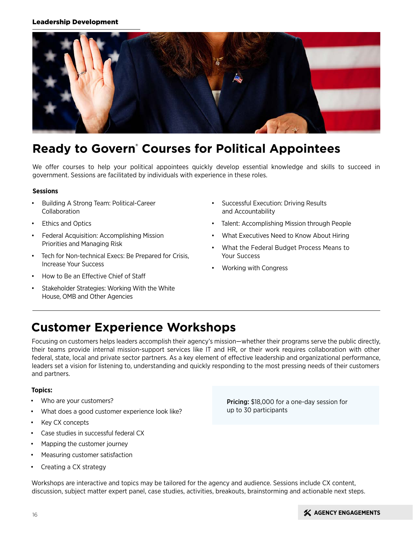#### Leadership Development



## **Ready to Govern® Courses for Political Appointees**

We offer courses to help your political appointees quickly develop essential knowledge and skills to succeed in government. Sessions are facilitated by individuals with experience in these roles.

#### **Sessions**

- Building A Strong Team: Political-Career Collaboration
- **Ethics and Optics**
- Federal Acquisition: Accomplishing Mission Priorities and Managing Risk
- Tech for Non-technical Execs: Be Prepared for Crisis, Increase Your Success
- How to Be an Effective Chief of Staff
- Stakeholder Strategies: Working With the White House, OMB and Other Agencies
- Successful Execution: Driving Results and Accountability
- Talent: Accomplishing Mission through People
- What Executives Need to Know About Hiring
- What the Federal Budget Process Means to Your Success
- Working with Congress

### **Customer Experience Workshops**

Focusing on customers helps leaders accomplish their agency's mission—whether their programs serve the public directly, their teams provide internal mission-support services like IT and HR, or their work requires collaboration with other federal, state, local and private sector partners. As a key element of effective leadership and organizational performance, leaders set a vision for listening to, understanding and quickly responding to the most pressing needs of their customers and partners.

#### **Topics:**

- Who are your customers?
- What does a good customer experience look like?
- Key CX concepts
- Case studies in successful federal CX
- Mapping the customer journey
- Measuring customer satisfaction
- Creating a CX strategy

**Pricing:** \$18,000 for a one-day session for up to 30 participants

Workshops are interactive and topics may be tailored for the agency and audience. Sessions include CX content, discussion, subject matter expert panel, case studies, activities, breakouts, brainstorming and actionable next steps.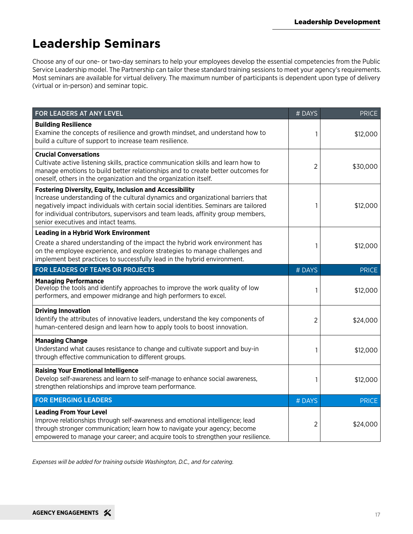# **Leadership Seminars**

Choose any of our one- or two-day seminars to help your employees develop the essential competencies from the Public Service Leadership model. The Partnership can tailor these standard training sessions to meet your agency's requirements. Most seminars are available for virtual delivery. The maximum number of participants is dependent upon type of delivery (virtual or in-person) and seminar topic.

| FOR LEADERS AT ANY LEVEL                                                                                                                                                                                                                                                                                                                                              | # DAYS | <b>PRICE</b> |
|-----------------------------------------------------------------------------------------------------------------------------------------------------------------------------------------------------------------------------------------------------------------------------------------------------------------------------------------------------------------------|--------|--------------|
| <b>Building Resilience</b><br>Examine the concepts of resilience and growth mindset, and understand how to<br>build a culture of support to increase team resilience.                                                                                                                                                                                                 |        | \$12,000     |
| <b>Crucial Conversations</b><br>Cultivate active listening skills, practice communication skills and learn how to<br>manage emotions to build better relationships and to create better outcomes for<br>oneself, others in the organization and the organization itself.                                                                                              | 2      | \$30,000     |
| <b>Fostering Diversity, Equity, Inclusion and Accessibility</b><br>Increase understanding of the cultural dynamics and organizational barriers that<br>negatively impact individuals with certain social identities. Seminars are tailored<br>for individual contributors, supervisors and team leads, affinity group members,<br>senior executives and intact teams. |        | \$12,000     |
| <b>Leading in a Hybrid Work Environment</b>                                                                                                                                                                                                                                                                                                                           |        |              |
| Create a shared understanding of the impact the hybrid work environment has<br>on the employee experience, and explore strategies to manage challenges and<br>implement best practices to successfully lead in the hybrid environment.                                                                                                                                |        | \$12,000     |
| FOR LEADERS OF TEAMS OR PROJECTS                                                                                                                                                                                                                                                                                                                                      |        | <b>PRICE</b> |
| <b>Managing Performance</b><br>Develop the tools and identify approaches to improve the work quality of low<br>performers, and empower midrange and high performers to excel.                                                                                                                                                                                         |        | \$12,000     |
| <b>Driving Innovation</b><br>Identify the attributes of innovative leaders, understand the key components of<br>human-centered design and learn how to apply tools to boost innovation.                                                                                                                                                                               |        | \$24,000     |
| <b>Managing Change</b><br>Understand what causes resistance to change and cultivate support and buy-in<br>through effective communication to different groups.                                                                                                                                                                                                        |        | \$12,000     |
| <b>Raising Your Emotional Intelligence</b><br>Develop self-awareness and learn to self-manage to enhance social awareness,<br>strengthen relationships and improve team performance.                                                                                                                                                                                  |        | \$12,000     |
| <b>FOR EMERGING LEADERS</b>                                                                                                                                                                                                                                                                                                                                           |        | <b>PRICE</b> |
| <b>Leading From Your Level</b><br>Improve relationships through self-awareness and emotional intelligence; lead<br>through stronger communication; learn how to navigate your agency; become<br>empowered to manage your career; and acquire tools to strengthen your resilience.                                                                                     |        | \$24,000     |

*Expenses will be added for training outside Washington, D.C., and for catering.*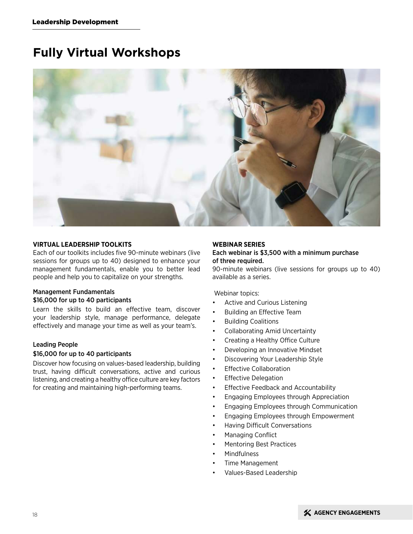## **Fully Virtual Workshops**



#### **VIRTUAL LEADERSHIP TOOLKITS**

Each of our toolkits includes five 90-minute webinars (live sessions for groups up to 40) designed to enhance your management fundamentals, enable you to better lead people and help you to capitalize on your strengths.

#### Management Fundamentals \$16,000 for up to 40 participants

Learn the skills to build an effective team, discover your leadership style, manage performance, delegate effectively and manage your time as well as your team's.

#### Leading People

#### \$16,000 for up to 40 participants

Discover how focusing on values-based leadership, building trust, having difficult conversations, active and curious listening, and creating a healthy office culture are key factors for creating and maintaining high-performing teams.

#### **WEBINAR SERIES**

#### Each webinar is \$3,500 with a minimum purchase of three required.

90-minute webinars (live sessions for groups up to 40) available as a series.

Webinar topics:

- Active and Curious Listening
- Building an Effective Team
- Building Coalitions
- Collaborating Amid Uncertainty
- Creating a Healthy Office Culture
- Developing an Innovative Mindset
- Discovering Your Leadership Style
- Effective Collaboration
- Effective Delegation
- Effective Feedback and Accountability
- Engaging Employees through Appreciation
- Engaging Employees through Communication
- Engaging Employees through Empowerment
- Having Difficult Conversations
- Managing Conflict
- Mentoring Best Practices
- **Mindfulness**
- Time Management
- Values-Based Leadership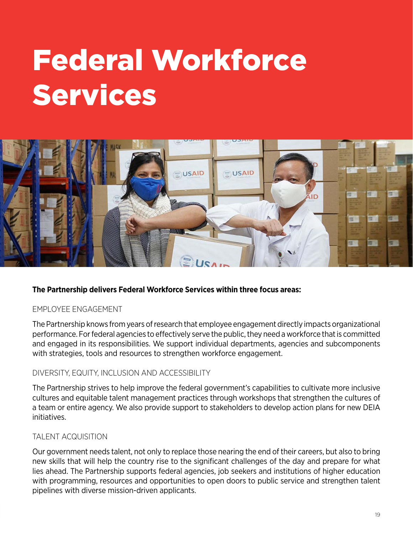# Federal Workforce Services



#### **The Partnership delivers Federal Workforce Services within three focus areas:**

#### EMPLOYEE ENGAGEMENT

The Partnership knows from years of research that employee engagement directly impacts organizational performance. For federal agencies to effectively serve the public, they need a workforce that is committed and engaged in its responsibilities. We support individual departments, agencies and subcomponents with strategies, tools and resources to strengthen workforce engagement.

#### DIVERSITY, EQUITY, INCLUSION AND ACCESSIBILITY

The Partnership strives to help improve the federal government's capabilities to cultivate more inclusive cultures and equitable talent management practices through workshops that strengthen the cultures of a team or entire agency. We also provide support to stakeholders to develop action plans for new DEIA initiatives.

#### TALENT ACQUISITION

Our government needs talent, not only to replace those nearing the end of their careers, but also to bring new skills that will help the country rise to the significant challenges of the day and prepare for what lies ahead. The Partnership supports federal agencies, job seekers and institutions of higher education with programming, resources and opportunities to open doors to public service and strengthen talent pipelines with diverse mission-driven applicants.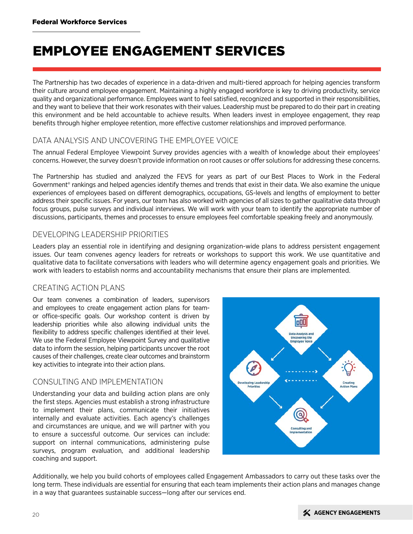# EMPLOYEE ENGAGEMENT SERVICES

The Partnership has two decades of experience in a data-driven and multi-tiered approach for helping agencies transform their culture around employee engagement. Maintaining a highly engaged workforce is key to driving productivity, service quality and organizational performance. Employees want to feel satisfied, recognized and supported in their responsibilities, and they want to believe that their work resonates with their values. Leadership must be prepared to do their part in creating this environment and be held accountable to achieve results. When leaders invest in employee engagement, they reap benefits through higher employee retention, more effective customer relationships and improved performance.

#### DATA ANALYSIS AND UNCOVERING THE EMPLOYEE VOICE

The annual Federal Employee Viewpoint Survey provides agencies with a wealth of knowledge about their employees' concerns. However, the survey doesn't provide information on root causes or offer solutions for addressing these concerns.

The Partnership has studied and analyzed the FEVS for years as part of our Best Places to Work in the Federal Government<sup>®</sup> rankings and helped agencies identify themes and trends that exist in their data. We also examine the unique experiences of employees based on different demographics, occupations, GS-levels and lengths of employment to better address their specific issues. For years, our team has also worked with agencies of all sizes to gather qualitative data through focus groups, pulse surveys and individual interviews. We will work with your team to identify the appropriate number of discussions, participants, themes and processes to ensure employees feel comfortable speaking freely and anonymously.

#### DEVELOPING LEADERSHIP PRIORITIES

Leaders play an essential role in identifying and designing organization-wide plans to address persistent engagement issues. Our team convenes agency leaders for retreats or workshops to support this work. We use quantitative and qualitative data to facilitate conversations with leaders who will determine agency engagement goals and priorities. We work with leaders to establish norms and accountability mechanisms that ensure their plans are implemented.

#### CREATING ACTION PLANS

Our team convenes a combination of leaders, supervisors and employees to create engagement action plans for teamor office-specific goals. Our workshop content is driven by leadership priorities while also allowing individual units the flexibility to address specific challenges identified at their level. We use the Federal Employee Viewpoint Survey and qualitative data to inform the session, helping participants uncover the root causes of their challenges, create clear outcomes and brainstorm key activities to integrate into their action plans.

#### CONSULTING AND IMPLEMENTATION

Understanding your data and building action plans are only the first steps. Agencies must establish a strong infrastructure to implement their plans, communicate their initiatives internally and evaluate activities. Each agency's challenges and circumstances are unique, and we will partner with you to ensure a successful outcome. Our services can include: support on internal communications, administering pulse surveys, program evaluation, and additional leadership coaching and support.



Additionally, we help you build cohorts of employees called Engagement Ambassadors to carry out these tasks over the long term. These individuals are essential for ensuring that each team implements their action plans and manages change in a way that guarantees sustainable success—long after our services end.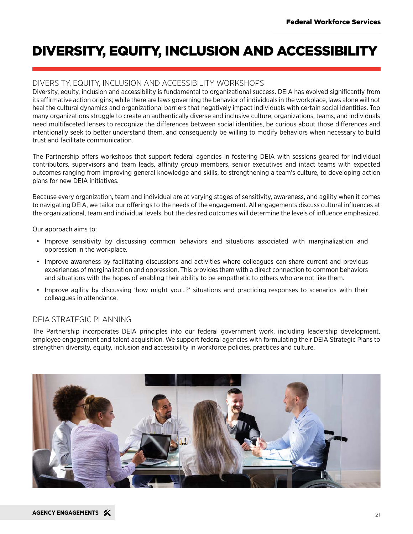# DIVERSITY, EQUITY, INCLUSION AND ACCESSIBILITY

#### DIVERSITY, EQUITY, INCLUSION AND ACCESSIBILITY WORKSHOPS

Diversity, equity, inclusion and accessibility is fundamental to organizational success. DEIA has evolved significantly from its affirmative action origins; while there are laws governing the behavior of individuals in the workplace, laws alone will not heal the cultural dynamics and organizational barriers that negatively impact individuals with certain social identities. Too many organizations struggle to create an authentically diverse and inclusive culture; organizations, teams, and individuals need multifaceted lenses to recognize the differences between social identities, be curious about those differences and intentionally seek to better understand them, and consequently be willing to modify behaviors when necessary to build trust and facilitate communication.

The Partnership offers workshops that support federal agencies in fostering DEIA with sessions geared for individual contributors, supervisors and team leads, affinity group members, senior executives and intact teams with expected outcomes ranging from improving general knowledge and skills, to strengthening a team's culture, to developing action plans for new DEIA initiatives.

Because every organization, team and individual are at varying stages of sensitivity, awareness, and agility when it comes to navigating DEIA, we tailor our offerings to the needs of the engagement. All engagements discuss cultural influences at the organizational, team and individual levels, but the desired outcomes will determine the levels of influence emphasized.

Our approach aims to:

- Improve sensitivity by discussing common behaviors and situations associated with marginalization and oppression in the workplace.
- Improve awareness by facilitating discussions and activities where colleagues can share current and previous experiences of marginalization and oppression. This provides them with a direct connection to common behaviors and situations with the hopes of enabling their ability to be empathetic to others who are not like them.
- Improve agility by discussing 'how might you…?' situations and practicing responses to scenarios with their colleagues in attendance.

#### DEIA STRATEGIC PLANNING

The Partnership incorporates DEIA principles into our federal government work, including leadership development, employee engagement and talent acquisition. We support federal agencies with formulating their DEIA Strategic Plans to strengthen diversity, equity, inclusion and accessibility in workforce policies, practices and culture.

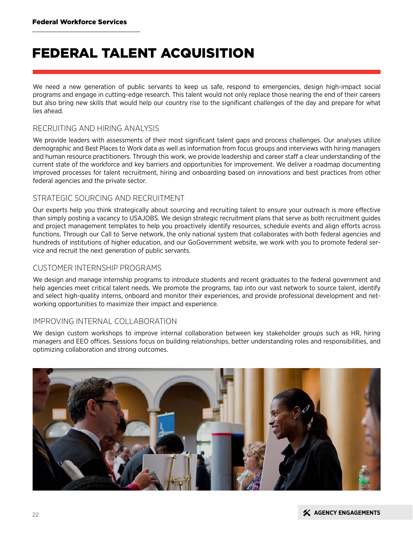# FEDERAL TALENT ACQUISITION

We need a new generation of public servants to keep us safe, respond to emergencies, design high-impact social programs and engage in cutting-edge research. This talent would not only replace those nearing the end of their careers but also bring new skills that would help our country rise to the significant challenges of the day and prepare for what lies ahead.

#### RECRUITING AND HIRING ANALYSIS

We provide leaders with assessments of their most significant talent gaps and process challenges. Our analyses utilize demographic and Best Places to Work data as well as information from focus groups and interviews with hiring managers and human resource practitioners. Through this work, we provide leadership and career staff a clear understanding of the current state of the workforce and key barriers and opportunities for improvement. We deliver a roadmap documenting improved processes for talent recruitment, hiring and onboarding based on innovations and best practices from other federal agencies and the private sector.

#### STRATEGIC SOURCING AND RECRUITMENT

Our experts help you think strategically about sourcing and recruiting talent to ensure your outreach is more effective than simply posting a vacancy to USAJOBS. We design strategic recruitment plans that serve as both recruitment guides and project management templates to help you proactively identify resources, schedule events and align efforts across functions. Through our Call to Serve network, the only national system that collaborates with both federal agencies and hundreds of institutions of higher education, and our GoGovernment website, we work with you to promote federal service and recruit the next generation of public servants.

#### CUSTOMER INTERNSHIP PROGRAMS

We design and manage internship programs to introduce students and recent graduates to the federal government and help agencies meet critical talent needs. We promote the programs, tap into our vast network to source talent, identify and select high-quality interns, onboard and monitor their experiences, and provide professional development and networking opportunities to maximize their impact and experience.

#### IMPROVING INTERNAL COLLABORATION

We design custom workshops to improve internal collaboration between key stakeholder groups such as HR, hiring managers and EEO offices. Sessions focus on building relationships, better understanding roles and responsibilities, and optimizing collaboration and strong outcomes.

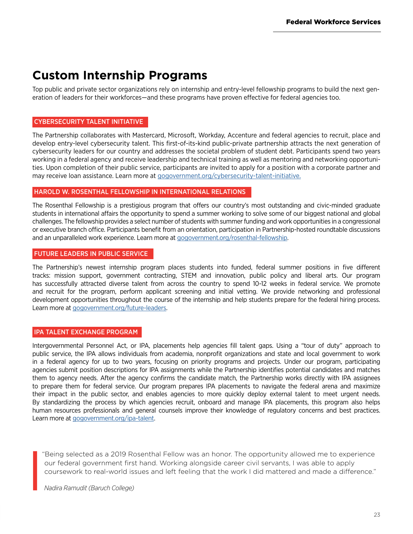### **Custom Internship Programs**

Top public and private sector organizations rely on internship and entry-level fellowship programs to build the next generation of leaders for their workforces—and these programs have proven effective for federal agencies too.

#### CYBERSECURITY TALENT INITIATIVE

The Partnership collaborates with Mastercard, Microsoft, Workday, Accenture and federal agencies to recruit, place and develop entry-level cybersecurity talent. This first-of-its-kind public-private partnership attracts the next generation of cybersecurity leaders for our country and addresses the societal problem of student debt. Participants spend two years working in a federal agency and receive leadership and technical training as well as mentoring and networking opportunities. Upon completion of their public service, participants are invited to apply for a position with a corporate partner and may receive loan assistance. Learn more at gogovernment.org/cybersecurity-talent-initiative.

#### HAROLD W. ROSENTHAL FELLOWSHIP IN INTERNATIONAL RELATIONS

The Rosenthal Fellowship is a prestigious program that offers our country's most outstanding and civic-minded graduate students in international affairs the opportunity to spend a summer working to solve some of our biggest national and global challenges. The fellowship provides a select number of students with summer funding and work opportunities in a congressional or executive branch office. Participants benefit from an orientation, participation in Partnership-hosted roundtable discussions and an unparalleled work experience. Learn more at [gogovernment.org/rosenthal-fellowship.](https://gogovernment.org/fellowship/harold-w-rosenthal-fellowship-in-international-relations/)

#### FUTURE LEADERS IN PUBLIC SERVICE

The Partnership's newest internship program places students into funded, federal summer positions in five different tracks: mission support, government contracting, STEM and innovation, public policy and liberal arts. Our program has successfully attracted diverse talent from across the country to spend 10-12 weeks in federal service. We promote and recruit for the program, perform applicant screening and initial vetting. We provide networking and professional development opportunities throughout the course of the internship and help students prepare for the federal hiring process. Learn more at [gogovernment.org/future-leaders](https://gogovernment.org/fellowship/future-leaders-in-public-service-internship-program/).

#### IPA TALENT EXCHANGE PROGRAM

Intergovernmental Personnel Act, or IPA, placements help agencies fill talent gaps. Using a "tour of duty" approach to public service, the IPA allows individuals from academia, nonprofit organizations and state and local government to work in a federal agency for up to two years, focusing on priority programs and projects. Under our program, participating agencies submit position descriptions for IPA assignments while the Partnership identifies potential candidates and matches them to agency needs. After the agency confirms the candidate match, the Partnership works directly with IPA assignees to prepare them for federal service. Our program prepares IPA placements to navigate the federal arena and maximize their impact in the public sector, and enables agencies to more quickly deploy external talent to meet urgent needs. By standardizing the process by which agencies recruit, onboard and manage IPA placements, this program also helps human resources professionals and general counsels improve their knowledge of regulatory concerns and best practices. Learn more at [gogovernment.org/i](https://gogovernment.org/fellowship/ipa-talent-exchange-program/)pa-talent.

"Being selected as a 2019 Rosenthal Fellow was an honor. The opportunity allowed me to experience our federal government first hand. Working alongside career civil servants, I was able to apply coursework to real-world issues and left feeling that the work I did mattered and made a difference."